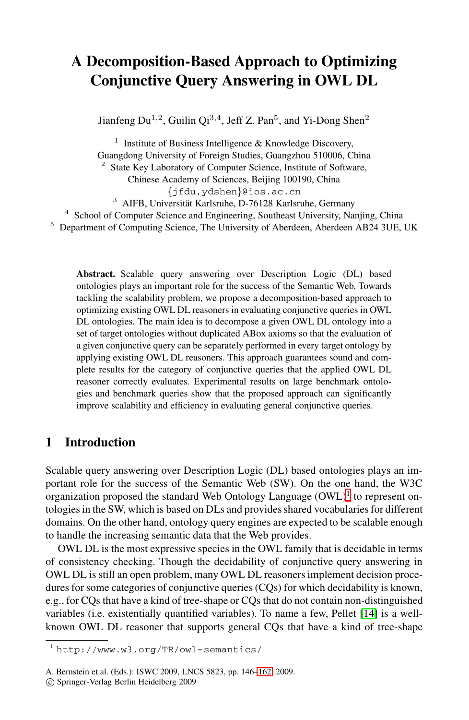# **A Decomposition-Based Approach to Optimizing Conjunctive Query Answering in OWL DL**

Jianfeng  $Du^{1,2}$ , Guilin Qi<sup>3,4</sup>, Jeff Z. Pan<sup>5</sup>, and Yi-Dong Shen<sup>2</sup>

<sup>1</sup> Institute of Business Intelligence & Knowledge Discovery, Guangdong University of Foreign Studies, Guangzhou 510006, China <sup>2</sup> State Key Laboratory of Computer Science, Institute of Software, Chinese Academy of Sciences, Beijing 100190, China {jfdu,ydshen}@ios.ac.cn

<sup>3</sup> AIFB, Universität Karlsruhe, D-76128 Karlsruhe, Germany

<sup>4</sup> School of Computer Science and Engineering, Southeast University, Nanjing, China <sup>5</sup> Department of Computing Science, The University of Aberdeen, Aberdeen AB24 3UE, UK

**Abstract.** Scalable query answering over Description Logic (DL) based ontologies plays an important role for the success of the Semantic Web. Towards tackling the scalability problem, we propose a decomposition-based approach to optimizing existing OWL DL reasoners in evaluating conjunctive queries in OWL DL ontologies. The main idea is to decompose a given OWL DL ontology into a set of target ontologies without duplicated ABox axioms so that the evaluation of a given conjunctive query can be separately performed in every target ontology by applying existing OWL DL reasoners. This approach guarantees sound and complete results for the category of conjunctive queries that the applied OWL DL reasoner correctly evaluates. Experimental results on large benchmark ontologies and benchmark queries show that the p[ro](#page-0-0)posed approach can significantly improve scalability and efficiency in evaluating general conjunctive queries.

# **1 Introduction**

Scalable query answering over Description Logic (DL) based ontologies plays an important role for the success of the Semantic Web (SW). On the one hand, the W3C organization proposed the standard Web Ontology Language  $(OWL)^1$  to represent ontologies in the SW, which is based on DLs and provi[des s](#page-16-0)hared vocabularies for different domains. On the other hand, ontology query engines are expected to be scalable enough to handle the increasing semantic data that the Web provides.

<span id="page-0-0"></span>[OWL DL is the most expre](http://www.w3.org/TR/owl-semantics/)ssive species in the OWL family that is decidable in terms of consistency checking. Though the decidability of conjunctive query answering in OWL DL is still an open pr[oblem](#page-16-1), many OWL DL reasoners implement decision procedures for some categories of conjunctive queries (CQs) for which decidability is known, e.g., for CQs that have a kind of tree-shape or CQs that do not contain non-distinguished variables (i.e. existentially quantified variables). To name a few, Pellet [14] is a wellknown OWL DL reasoner that supports general CQs that have a kind of tree-shape

<sup>1</sup> http://www.w3.org/TR/owl-semantics/

A. Bernstein et al. (Eds.): ISWC 2009, LNCS 5823, pp. 146–162, 2009.

<sup>-</sup>c Springer-Verlag Berlin Heidelberg 2009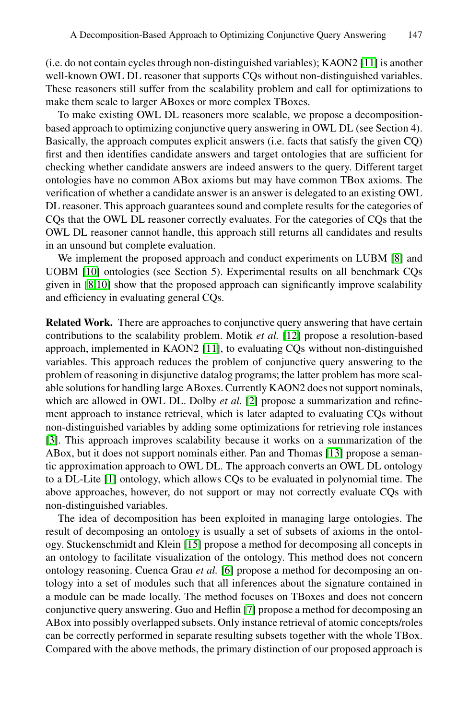(i.e. do not contain cycles through non-distinguished variables); KAON2 [11] is another well-known OWL DL reasoner that supports CQs without non-distinguished variables. These reasoners still suffer from the scalability problem and call for optimizations to make them scale to larger ABoxes or more complex TBoxes.

To make existing OWL DL reasoners more scalable, we propose a decompositionbased approach to optimizing conjunctive query answering in OWL DL (see Section 4). Basically, the approach computes explicit answers (i.e. facts that satisfy the given CQ) first and then identifies candidate answers and target onto[log](#page-16-2)ies that are sufficient for checking whether candidate answers are indeed answers to the query. Different target ontologies have no common ABox axioms but may have common TBox axioms. The verification of whether a candidate answer is an answer is delegated to an existing OWL DL reasoner. This approach guarantees sound and complete results for the categories of CQs that the OWL DL reasoner correctly evaluates. For the categories of CQs that the OWL DL reasoner cannot handle, [thi](#page-16-3)s approach still returns all candidates and results in an unsound b[ut c](#page-16-4)omplete evaluation.

We implement the proposed approach and conduct experiments on LUBM [8] and UOBM [10] ontologies (see Section 5). Experimental results on all benchmark CQs given in [8,10] show that the proposed approach can significantly improve scalability and efficiency in evaluati[ng](#page-16-5) general CQs.

**Related Work.** There are approaches to conjunctive query answering that have certain contributions to the scalability problem. Motik *et al.* [12] propose a resolution-based approach, implemented in KAON2 [11], to [eva](#page-16-6)luating CQs without non-distinguished variables. This approach reduces the problem of conjunctive query answering to the problem of reasoning in disjunctive datalog programs; the latter problem has more scalable solutions for handling large ABoxes. Currently KAON2 does not support nominals, which are allowed in OWL DL. Dolby *et al.* [2] propose a summarization and refinement approach to instance retrieval, which is later adapted to evaluating CQs without non-distinguished variables by adding some optimizations for retrieving role instances [3]. This a[ppro](#page-16-7)ach improves scalability because it works on a summarization of the ABox, but it does not support nominals either. Pan and Thomas [13] propose a semantic approximation a[ppr](#page-16-8)oach to OWL DL. The approach converts an OWL DL ontology to a DL-Lite [1] ontology, which allows CQs to be evaluated in polynomial time. The above approaches, however, do not support or may not correctly evaluate CQs with non-distinguished variabl[es](#page-16-9).

The idea of decomposition has been exploited in managing large ontologies. The result of decomposing an ontology is usually a set of subsets of axioms in the ontology. Stuckenschmidt and Klein [15] propose a method for decomposing all concepts in an ontology to facilitate visualization of the ontology. This method does not concern ontology reasoning. Cuenca Grau *et al.* [6] propose a method for decomposing an ontology into a set of modules such that all inferences about the signature contained in a module can be made locally. The method focuses on TBoxes and does not concern conjunctive query answering. Guo and Heflin [7] propose a method for decomposing an ABox into possibly overlapped subsets. Only instance retrieval of atomic concepts/roles can be correctly performed in separate resulting subsets together with the whole TBox. Compared with the above methods, the primary distinction of our proposed approach is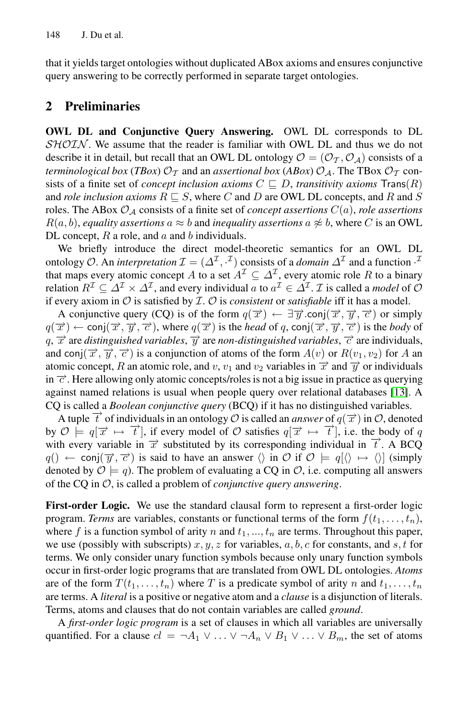that it yields target ontologies without duplicated ABox axioms and ensures conjunctive query answering to be correctly performed in separate target ontologies.

## **2 Preliminaries**

**OWL DL and Conjunctive Query Answering.** OWL DL corresponds to DL  $SHOIN$ . We assume that the reader is familiar with OWL DL and thus we do not describe it in detail, but recall that an OWL DL ontology  $\mathcal{O} = (\mathcal{O}_\mathcal{T}, \mathcal{O}_\mathcal{A})$  consists of a *terminological box* (*TBox*)  $\mathcal{O}_T$  and an *assertional box* (*ABox*)  $\mathcal{O}_A$ . The TBox  $\mathcal{O}_T$  consists of a finite set of *concept inclusion axioms*  $C \subseteq D$ , *transitivity axioms*  $\text{Trans}(R)$ and *role inclusion axioms*  $R \subseteq S$ , where C and D are OWL DL concepts, and R and S roles. The ABox  $O_A$  consists of a finite set of *concept assertions*  $C(a)$ *, role assertions*  $R(a, b)$ , *equality assertions*  $a \approx b$  and *inequality assertions*  $a \not\approx b$ , where C is an OWL DL concept,  $R$  a role, and  $a$  and  $b$  individuals.

We briefly introduce the direct model-theoretic semantics for an OWL DL ontology  $\mathcal{O}$ . An *interpretation*  $\mathcal{I} = (\Delta^{\mathcal{I}}, \cdot^{\mathcal{I}})$  consists of a *domain*  $\Delta^{\mathcal{I}}$  and a function  $\cdot^{\mathcal{I}}$ that maps every atomic concept A to a set  $A^{\mathcal{I}} \subseteq A^{\mathcal{I}}$ , every atomic role R to a binary relation  $R^{\mathcal{I}} \subseteq \Delta^{\mathcal{I}} \times \Delta^{\mathcal{I}}$ , and every individual a to  $a^{\mathcal{I}} \in \Delta^{\mathcal{I}}$ [.](#page-16-6) *T* is called a *model* of  $\mathcal{O}$ if every axiom in O is satisfied by I. O is *consistent* or *satisfiable* iff it has a model.

A conjunctive query (CQ) is of the form  $q(\vec{x}) \leftarrow \exists \vec{y}$ .conj $(\vec{x}, \vec{y}, \vec{c})$  or simply  $q(\vec{x}) \leftarrow \text{conj}(\vec{x}, \vec{y}, \vec{c})$ , where  $q(\vec{x})$  is the *head* of q, conj $(\vec{x}, \vec{y}, \vec{c})$  is the *body* of  $q, \overrightarrow{x}$  are *distinguished variables*,  $\overrightarrow{y}$  are *non-distinguished variables*,  $\overrightarrow{c}$  are individuals, and conj $(\vec{x}, \vec{y}, \vec{c})$  is a conjunction of atoms of the form  $A(v)$  or  $R(v_1, v_2)$  for A an atomic concept, R an atomic role, and v,  $v_1$  and  $v_2$  variables in  $\vec{x}$  and  $\vec{y}$  or individuals in  $\vec{\epsilon}$ . Here allowing only atomic concepts/roles is not a big issue in practice as querying against named relations is usual when people query over relational databases [13]. A CQ is called a *Boolean conjunctive query* (BCQ) if it has no distinguished variables.

A tuple  $\overrightarrow{t}$  of individuals in an ontology O is called an *answer* of  $q(\overrightarrow{x})$  in O, denoted by  $\mathcal{O} \models q[\vec{x} \mapsto \vec{t}]$ , if every model of  $\mathcal{O}$  satisfies  $q[\vec{x} \mapsto \vec{t}]$ , i.e. the body of q with every variable in  $\vec{x}$  substituted by its corresponding individual in  $\vec{t}$ . A BCQ  $q() \leftarrow \text{conj}(\overrightarrow{y}, \overrightarrow{c})$  is said to have an answer  $\langle \rangle$  in  $\mathcal{O}$  if  $\mathcal{O} \models q[\langle \rangle \mapsto \langle \rangle]$  (simply denoted by  $\mathcal{O} \models q$ ). The problem of evaluating a CQ in  $\mathcal{O}$ , i.e. computing all answers of the CQ in O, is called a problem of *conjunctive query answering*.

**First-order Logic.** We use the standard clausal form to represent a first-order logic program. *Terms* are variables, constants or functional terms of the form  $f(t_1,...,t_n)$ , where f is a function symbol of arity n and  $t_1, ..., t_n$  are terms. Throughout this paper, we use (possibly with subscripts) x, y, z for variables, a, b, c for constants, and s, t for terms. We only consider unary function symbols because only unary function symbols occur in first-order logic programs that are translated from OWL DL ontologies. *Atoms* are of the form  $T(t_1,\ldots,t_n)$  where T is a predicate symbol of arity n and  $t_1,\ldots,t_n$ are terms. A *literal* is a positive or negative atom and a *clause* is a disjunction of literals. Terms, atoms and clauses that do not contain variables are called *ground*.

A *first-order logic program* is a set of clauses in which all variables are universally quantified. For a clause  $cl = \neg A_1 \vee \dots \vee \neg A_n \vee B_1 \vee \dots \vee B_m$ , the set of atoms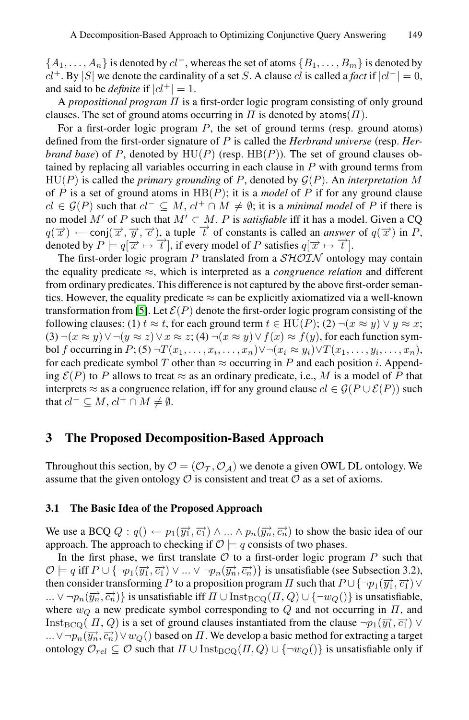${A_1, \ldots, A_n}$  is denoted by  $cl^-$ , whereas the set of atoms  ${B_1, \ldots, B_m}$  is denoted by  $cl^+$ . By |S| we denote the cardinality of a set S. A clause  $cl$  is called a *fact* if  $|cl^-| = 0$ , and said to be *definite* if  $|cl^+| = 1$ .

A *propositional program* Π is a first-order logic program consisting of only ground clauses. The set of ground atoms occurring in  $\Pi$  is denoted by atoms( $\Pi$ ).

For a first-order logic program  $P$ , the set of ground terms (resp. ground atoms) defined from the first-order signature of P is called the *Herbrand universe* (resp. *Herbrand base*) of P, denoted by  $HU(P)$  (resp.  $HB(P)$ ). The set of ground clauses obtained by replacing all variables occurring in each clause in  $P$  with ground terms from  $HU(P)$  is called the *primary grounding* of P, denoted by  $G(P)$ . An *interpretation* M of P is a set of ground atoms in  $HB(P)$ ; it is a *model* of P if for any ground clause  $cl \in \mathcal{G}(P)$  $cl \in \mathcal{G}(P)$  such that  $cl^- ⊆ M$ ,  $cl^+ ∩ M \neq \emptyset$ ; it is a *minimal model* of P if there is no model M' of P such that  $M' \subset M$ . P is *satisfiable* iff it has a model. Given a CQ  $q(\vec{x}) \leftarrow \text{conj}(\vec{x}, \vec{y}, \vec{c})$ , a tuple  $\vec{t}$  of constants is called an *answer* of  $q(\vec{x})$  in P, denoted by  $P \models q[\vec{x} \mapsto \vec{t}]$ , if every model of P satisfies  $q[\vec{x} \mapsto \vec{t}]$ .

The first-order logic program  $P$  translated from a  $\mathcal{SHOIN}$  ontology may contain the equality predicate ≈, which is interpreted as a *congruence relation* and different from ordinary predicates. This difference is not captured by the above first-order semantics. However, the equality predicate  $\approx$  can be explicitly axiomatized via a well-known transformation from [5]. Let  $\mathcal{E}(P)$  denote the first-order logic program consisting of the following clauses: (1)  $t \approx t$ , for each ground term  $t \in HU(P)$ ; (2)  $\neg(x \approx y) \lor y \approx x$ ;  $(3) \neg (x \approx y) \vee \neg (y \approx z) \vee x \approx z$ ;  $(4) \neg (x \approx y) \vee f(x) \approx f(y)$ , for each function symbol f occurring in  $P$ ; (5)  $\neg T(x_1,\ldots,x_i,\ldots,x_n) \vee \neg (x_i \approx y_i) \vee T(x_1,\ldots,y_i,\ldots,x_n),$ for each predicate symbol T other than  $\approx$  occurring in P and each position i. Appending  $\mathcal{E}(P)$  to P allows to treat  $\approx$  as an ordinary predicate, i.e., M is a model of P that interprets  $\approx$  as a congruence relation, iff for any ground clause  $cl \in \mathcal{G}(P \cup \mathcal{E}(P))$  such that  $cl^- \subseteq M$ ,  $cl^+ \cap M \neq \emptyset$ .

## **3 The Proposed Decomposition-Based Approach**

Throughout this section, by  $\mathcal{O} = (\mathcal{O}_\mathcal{T}, \mathcal{O}_\mathcal{A})$  we denote a given OWL DL ontology. We assume that the given ontology  $\mathcal O$  is consistent and treat  $\mathcal O$  as a set of axioms.

### **3.1 The Basic Idea of the Proposed Approach**

We use a BCQ  $Q: q() \leftarrow p_1(\overrightarrow{y_1}, \overrightarrow{c_1}) \wedge ... \wedge p_n(\overrightarrow{y_n}, \overrightarrow{c_n})$  to show the basic idea of our approach. The approach to checking if  $\mathcal{O} \models q$  consists of two phases.

In the first phase, we first translate  $O$  to a first-order logic program  $P$  such that  $\mathcal{O} \models q$  iff  $P \cup {\neg p_1(\overrightarrow{y_1}, \overrightarrow{c_1}) \vee ... \vee \neg p_n(\overrightarrow{y_n}, \overrightarrow{c_n})}$  is unsatisfiable (see Subsection 3.2), then consider transforming P to a proposition program  $\Pi$  such that  $P \cup \{\neg p_1(\overrightarrow{y_1}, \overrightarrow{c_1}) \vee \varphi_1\}$ ...  $\vee \neg p_n(\overrightarrow{y_n}, \overrightarrow{c_n})$ } is unsatisfiable iff  $\Pi \cup \text{Inst}_{BCQ}(\Pi, Q) \cup \{\neg w_Q()\}$  is unsatisfiable, where  $w<sub>O</sub>$  a new predicate symbol corresponding to  $Q$  and not occurring in  $\Pi$ , and Inst<sub>BCQ</sub>(  $\Pi$ , Q) is a set of ground clauses instantiated from the clause  $\neg p_1(\overrightarrow{y_1}, \overrightarrow{c_1}) \vee$  $... \vee \neg p_n(\overrightarrow{y_n}, \overrightarrow{c_n}) \vee w_Q()$  based on  $\Pi$ . We develop a basic method for extracting a target ontology  $\mathcal{O}_{rel} \subseteq \mathcal{O}$  such that  $\Pi \cup \text{Inst}_{BCQ}(\Pi, Q) \cup \{\neg w_Q(\}\}$  is unsatisfiable only if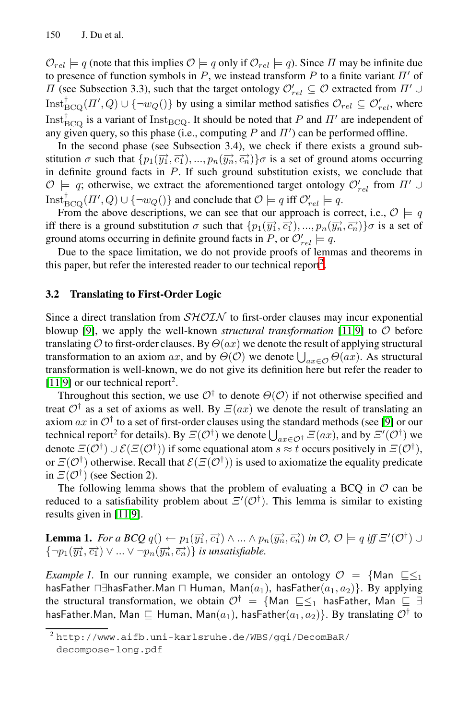$\mathcal{O}_{rel} \models q$  (note that this implies  $\mathcal{O} \models q$  only if  $\mathcal{O}_{rel} \models q$ ). Since  $\Pi$  may be infinite due to presence of function symbols in  $P$ , we instead transform  $P$  to a finite variant  $\Pi'$  of  $\Pi$  (see Subsection 3.3), such that the target ontology  $\mathcal{O}_{rel} \subseteq \mathcal{O}$  extracted from  $\Pi' \cup \Pi$  $\text{Inst}^{\dagger}_{\text{BCO}}(H',Q) \cup \{\neg w_Q()\}$  by using a similar method satisfies  $\mathcal{O}_{rel} \subseteq \mathcal{O}_{rel}'$ , where  $\text{Inst}_{\text{BCO}}^{\dagger}$  is a variant of  $\text{Inst}_{\text{BCQ}}$ . It should be noted that P and  $\Pi'$  are independent of any given query, so this phase (i.e., computing P and  $\Pi'$ ) can be performed offline.

In the second phase (see Subsection 3.4), we check if there exists a ground substitutio[n](#page-4-0)  $\sigma$  such that  $\{p_1(\overrightarrow{y_1}, \overrightarrow{c_1}), ..., p_n(\overrightarrow{y_n}, \overrightarrow{c_n})\}\sigma$  is a set of ground atoms occurring in definite ground facts in  $P$ . If such ground substitution exists, we conclude that  $\mathcal{O}$   $\models$  q; otherwise, we extract the aforementioned target ontology  $\mathcal{O}_{rel}'$  from  $\Pi'$   $\cup$  $\text{Inst}_{\text{BCO}}^{\dagger}(H',Q) \cup \{\neg w_Q()\}$  and conclude that  $\mathcal{O} \models q$  iff  $\mathcal{O}_{rel}' \models q$ .

From the above descriptions, we can see that our approach is correct, i.e.,  $\mathcal{O} \models q$ iff there is a ground substitution  $\sigma$  such that  $\{p_1(\overrightarrow{y_1}, \overrightarrow{c_1}), ..., p_n(\overrightarrow{y_n}, \overrightarrow{c_n})\}\sigma$  $\{p_1(\overrightarrow{y_1}, \overrightarrow{c_1}), ..., p_n(\overrightarrow{y_n}, \overrightarrow{c_n})\}\sigma$  $\{p_1(\overrightarrow{y_1}, \overrightarrow{c_1}), ..., p_n(\overrightarrow{y_n}, \overrightarrow{c_n})\}\sigma$  $\{p_1(\overrightarrow{y_1}, \overrightarrow{c_1}), ..., p_n(\overrightarrow{y_n}, \overrightarrow{c_n})\}\sigma$  $\{p_1(\overrightarrow{y_1}, \overrightarrow{c_1}), ..., p_n(\overrightarrow{y_n}, \overrightarrow{c_n})\}\sigma$  is a set of ground atoms occurring in definite ground facts in P, or  $\mathcal{O}_{rel} \models q$ .

Due to the space limitation, we do not provide proofs of lemmas and theorems in this paper, but refer the interested reader to our technical report<sup>2</sup>.

#### **3.2 Translating to First-Order Logic**

Since a direct translation from  $\mathcal{SHOIN}$  to first-order [cla](#page-16-11)uses may incur exponential blowup [9], we apply the well-known *structural transformation* [11,9] to  $O$  before translating  $O$  to first-order clauses. By  $O(ax)$  we denote the result of applying structural transformation to an axiom ax, and by  $\Theta(\mathcal{O})$  we denote  $\bigcup_{ax \in \mathcal{O}} \Theta(ax)$ . As structural transformation is well-known, we do not give its definition here but refer the reader to  $[11,9]$  or our technical report<sup>2</sup>.

<span id="page-4-1"></span>Throughout this section, we use  $\mathcal{O}^{\dagger}$  to denote  $\Theta(\mathcal{O})$  if not otherwise specified and [t](#page-16-11)reat  $\mathcal{O}^{\dagger}$  as a set of axioms as well. By  $E(ax)$  we denote the result of translating an axiom ax in  $\mathcal{O}^{\dagger}$  to a set of first-order clauses using the standard methods (see [9] or our technical report<sup>2</sup> for details). By  $\Xi(\mathcal{O}^{\dagger})$  we denote  $\bigcup_{ax \in \mathcal{O}^{\dagger}} \Xi(ax)$ , and by  $\Xi'(\mathcal{O}^{\dagger})$  we denote  $\mathcal{E}(\mathcal{O}^{\dagger}) \cup \mathcal{E}(\mathcal{E}(\mathcal{O}^{\dagger}))$  if some equational atom  $s \approx t$  occurs positively in  $\mathcal{E}(\mathcal{O}^{\dagger})$ , or  $E(O^{\dagger})$  otherwise. Recall that  $E(E(O^{\dagger}))$  is used to axiomatize the equality predicate in  $\Xi(\mathcal{O}^\dagger)$  (see Section 2).

<span id="page-4-2"></span>The following lemma shows that the problem of evaluating a BCQ in  $O$  can be reduced to a satisfiability problem about  $E'(\mathcal{O}^{\dagger})$ . This lemma is similar to existing results given in [11,9].

<span id="page-4-0"></span>**Lemma 1.** *[For a BCQ](http://www.aifb.uni-karlsruhe.de/WBS/gqi/DecomBaR/decompose-long.pdf)*  $q() \leftarrow p_1(\overrightarrow{y_1}, \overrightarrow{c_1}) \wedge ... \wedge p_n(\overrightarrow{y_n}, \overrightarrow{c_n})$  *in*  $\mathcal{O}, \mathcal{O} \models q$  *iff*  $\Xi'(\mathcal{O}^{\dagger}) \cup$  ${\overline{\{\neg p_1(\overrightarrow{y_1},\overrightarrow{c_1})\}\cup...\vee\neg p_n(\overrightarrow{y_n},\overrightarrow{c_n})\}}}$  *is unsatisfiable.* 

*Example 1.* In our running example, we consider an ontology  $\mathcal{O} = \{ \text{Man } \sqsubseteq \leq_1 \}$ hasFather  $\Box$ hasFather.Man  $\Box$  Human, Man $(a_1)$ , hasFather $(a_1, a_2)$ }. By applying the structural transformation, we obtain  $\mathcal{O}^{\dagger} = \{ \text{Man } \sqsubseteq \leq_1 \text{ hasFather, Man } \sqsubseteq \exists \}$ hasFather.Man, Man  $\sqsubseteq$  Human, Man $(a_1),$  hasFather $(a_1,a_2)\}$ . By translating  $\mathcal{O}^\dagger$  to

 $2$ http://www.aifb.uni-karlsruhe.de/WBS/gqi/DecomBaR/ decompose-long.pdf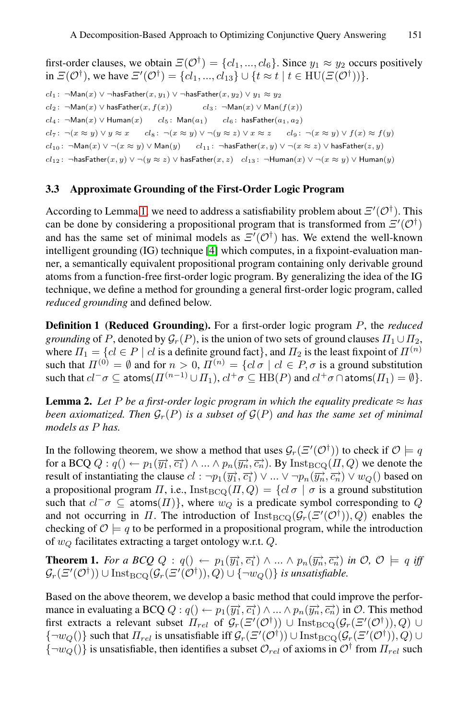first-order clauses, we obtain  $\mathcal{E}(\mathcal{O}^{\dagger}) = \{cl_1, ..., cl_6\}$ . Since  $y_1 \approx y_2$  occurs positively in  $\mathcal{Z}(\mathcal{O}^{\dagger})$ , we have  $\mathcal{Z}'(\mathcal{O}^{\dagger}) = \{cl_1, ..., cl_{13}\} \cup \{t \approx t \mid t \in \text{HU}(\mathcal{Z}(\mathcal{O}^{\dagger}))\}.$ 

```
cl_1: ¬Man(x) ∨ ¬hasFather(x,y_1) ∨ ¬hasFather(x,y_2) ∨ y_1 \approx y_22 \colon \,\neg \mathsf{Man}(x) \vee \mathsf{hasFather}(x, f(x)) cl<sub>3</sub>: \neg \mathsf{Man}(x) \vee \mathsf{Man}(f(x))cl_4: ¬Man(x) ∨ Human(x) cl_5: Man(a_1) cl_6: hasFather(a_1, a_2)cl_7\colon \neg(x\approx y)\vee y\approx x cl_8\colon \neg(x\approx y)\vee \neg(y\approx z)\vee x\approx z cl_9\colon \neg(x\approx y)\vee f(x)\approx f(y)cl_{10}: ¬Manx) ∨ ¬(x \approx y) ∨ Man(y) cl<sub>11</sub> : ¬hasFather(x, y) ∨ ¬(x \approx z) ∨ hasFather(z, y)cl<sub>12</sub> : ¬hasFather(x, y) \vee \neg (y \approx z) \vee hasFather(x, z) cl<sub>13</sub> : ¬Human(x) \vee \neg (x \approx y) \veeHuman(y)
```
#### <span id="page-5-0"></span>**3.3 Approximate Grounding of the First-Order Logic Program**

According to Lemma 1, we need to address a satisfiability problem about  $\mathcal{Z}'(\mathcal{O}^{\dagger})$ . This can be done by considering a propositional program that is transformed from  $\bar{z}'(\mathcal{O}^{\dagger})$ and has the same set of minimal models as  $\overline{S}'(\mathcal{O}^{\dagger})$  has. We extend the well-known intelligent grounding (IG) technique [4] which computes, in a fixpoint-evaluation manner, a semantically equivalent propositional program containing only derivable ground atoms from a function-free first-order logic program. By generalizing the idea of the IG technique, we define a method for grounding a general first-order logic program, called *reduced grounding* and defined below.

**Definition 1 (Reduced Grounding).** For a first-order logic program P, the *reduced grounding* of P, denoted by  $\mathcal{G}_r(P)$ , is the union of two sets of ground clauses  $\Pi_1 \cup \Pi_2$ , where  $\Pi_1 = \{cl \in P \mid cl$  is a definite ground fact}, and  $\Pi_2$  is the least fixpoint of  $\Pi^{(n)}$ such that  $\Pi^{(0)} = \emptyset$  and for  $n > 0$ ,  $\Pi^{(n)} = \{ cl \sigma \mid cl \in P, \sigma \text{ is a ground substitution} \}$ such that  $cl^-\sigma \subseteq \mathsf{atoms}(\Pi^{(n-1)} \cup \Pi_1), \, cl^+\sigma \subseteq \mathrm{HB}(P)$  and  $cl^+\sigma \cap \mathsf{atoms}(\Pi_1) = \emptyset$ .

**Lemma 2.** Let P be a first-order logic program in which the equality predicate  $\approx$  has *been axiomatized. Then*  $\mathcal{G}_r(P)$  *is a subset of*  $\mathcal{G}(P)$  *and has the same set of minimal models as* P *has.*

In the following theorem, we show a method that uses  $\mathcal{G}_r(\mathcal{Z}'(\mathcal{O}^{\dagger}))$  to check if  $\mathcal{O} \models q$ for a BCQ  $Q: q() \leftarrow p_1(\overrightarrow{y_1}, \overrightarrow{c_1}) \wedge ... \wedge p_n(\overrightarrow{y_n}, \overrightarrow{c_n})$ . By  $\text{Inst}_{BCQ}(H, Q)$  we denote the result of instantiating the clause  $cl : \neg p_1(\overrightarrow{y_1}, \overrightarrow{c_1}) \vee ... \vee \neg p_n(\overrightarrow{y_n}, \overrightarrow{c_n}) \vee w_Q()$  based on a propositional program  $\Pi$ , i.e.,  $\text{Inst}_{BCO}(H, Q) = \{cl \sigma \mid \sigma \text{ is a ground substitution}$ such that  $cl^-\sigma \subseteq$  atoms $(H)$ , where  $w_O$  is a predicate symbol corresponding to Q and not occurring in  $\Pi$ . The introduction of  $Int_{BCQ}(\mathcal{G}_r(\mathcal{Z}'(\mathcal{O}^{\dagger})), Q)$  enables the checking of  $\mathcal{O} \models q$  to be performed in a propositional program, while the introduction of  $w<sub>O</sub>$  facilitates extracting a target ontology w.r.t. Q.

**Theorem 1.** For a BCQ  $Q : q() \leftarrow p_1(\overrightarrow{y_1}, \overrightarrow{c_1}) \wedge ... \wedge p_n(\overrightarrow{y_n}, \overrightarrow{c_n})$  in  $\mathcal{O}, \mathcal{O} \models q$  iff  $\mathcal{G}_r(\Xi'(\mathcal{O}^\dagger)) \cup \text{Inst}_{\text{BCQ}}(\mathcal{G}_r(\Xi'(\mathcal{O}^\dagger)),Q) \cup \{\neg w_Q()\}$  is unsatisfiable.

Based on the above theorem, we develop a basic method that could improve the performance in evaluating a BCQ  $Q: q() \leftarrow p_1(\vec{y}_1, \vec{c}_1) \wedge ... \wedge p_n(\vec{y}_n, \vec{c}_n)$  in  $O$ . This method first extracts a relevant subset  $H_{rel}$  of  $\mathcal{G}_r(\mathcal{E}'(\mathcal{O}^{\dagger})) \cup \text{Inst}_{BCQ}(\mathcal{G}_r(\mathcal{E}'(\mathcal{O}^{\dagger})), Q) \cup$  $\{\neg w_Q(\text{)}\}$  such that  $\Pi_{rel}$  is unsatisfiable iff  $\mathcal{G}_r(\mathcal{E}'(\mathcal{O}^{\dagger})) \cup \text{Inst}_{\text{BCQ}}(\mathcal{G}_r(\mathcal{E}'(\mathcal{O}^{\dagger})), Q) \cup$  ${\lbrace \neg w_O(\mathbf{0}) \rbrace}$  is unsatisfiable, then identifies a subset  $\mathcal{O}_{rel}$  of axioms in  $\mathcal{O}^{\dagger}$  from  $\Pi_{rel}$  such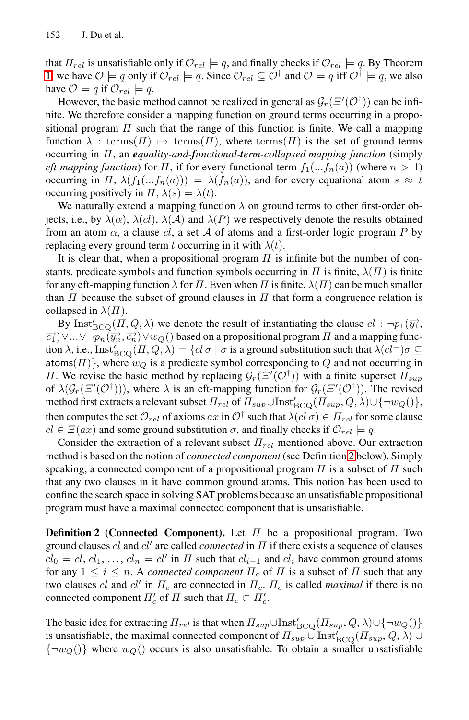that  $\Pi_{rel}$  is unsatisfiable only if  $\mathcal{O}_{rel} \models q$ , and finally checks if  $\mathcal{O}_{rel} \models q$ . By Theorem 1, we have  $\mathcal{O} \models q$  only if  $\mathcal{O}_{rel} \models q$ . Since  $\mathcal{O}_{rel} \subseteq \mathcal{O}^\dagger$  and  $\mathcal{O} \models q$  iff  $\mathcal{O}^\dagger \models q$ , we also have  $\mathcal{O} \models q$  if  $\mathcal{O}_{rel} \models q$ .

However, the basic method cannot be realized in general as  $\mathcal{G}_r(\mathcal{Z}'(\mathcal{O}^{\dagger}))$  can be infinite. We therefore consider a mapping function on ground terms occurring in a propositional program  $\Pi$  such that the range of this function is finite. We call a mapping function  $\lambda$ : terms $(\Pi) \mapsto \text{terms}(\Pi)$ , where terms $(\Pi)$  is the set of ground terms occurring in Π, an *equality-and-functional-term-collapsed mapping function* (simply *eft-mapping function*) for  $\Pi$ , if for every functional term  $f_1(...f_n(a))$  (where  $n > 1$ ) occurring in  $\Pi$ ,  $\lambda(f_1(...f_n(a))) = \lambda(f_n(a))$ , and for every equational atom  $s \approx t$ occurring positively in  $\Pi$ ,  $\lambda(s) = \lambda(t)$ .

We naturally extend a mapping function  $\lambda$  on ground terms to other first-order objects, i.e., by  $\lambda(\alpha)$ ,  $\lambda(cl)$ ,  $\lambda(\mathcal{A})$  and  $\lambda(P)$  we respectively denote the results obtained from an atom  $\alpha$ , a clause cl, a set A of atoms and a first-order logic program P by replacing every ground term t occurring in it with  $\lambda(t)$ .

It is clear that, when a propositional program  $\Pi$  is infinite but the number of constants, predicate symbols and function symbols occurring in  $\Pi$  is finite,  $\lambda(\Pi)$  is finite for any eft-mapping function  $\lambda$  for  $\Pi$ . Even when  $\Pi$  is finite,  $\lambda(\Pi)$  can be much smaller than  $\Pi$  because the subset of ground clauses in  $\Pi$  that form a congruence relation is collapsed in  $\lambda(\Pi)$ .

By  $Inst'_{1}$ By  $\text{Inst}_{\text{BCQ}}'(H, Q, \lambda)$  we denote the result of instantiating the clause  $cl : \neg p_1(\overrightarrow{y_1}, \overrightarrow{c_1}) \vee ... \vee \neg p_n(\overrightarrow{y_n}, \overrightarrow{c_n}) \vee w_Q()$  based on a propositional program  $H$  and a mapping function  $\lambda$ , i.e., Inst $'_{BCO}(H, Q, \lambda) = \{cl \sigma \mid \sigma \text{ is a ground substitution such that } \lambda(cl^-) \sigma \subseteq$  $'_{BCO}(H, Q, \lambda) = \{cl \sigma \mid \sigma \text{ is a ground substitution such that } \lambda(cl^-) \sigma \subseteq$  $'_{BCO}(H, Q, \lambda) = \{cl \sigma \mid \sigma \text{ is a ground substitution such that } \lambda(cl^-) \sigma \subseteq$ atoms( $\Pi$ ), where  $w_Q$  is a predicate symbol corresponding to Q and not occurring in *Π*. We revise the basic method by replacing  $\mathcal{G}_r(\mathcal{E}^l(\mathcal{O}^{\dagger}))$  with a finite superset  $\Pi_{sup}$ of  $\lambda(G_r(\mathcal{E}'(\mathcal{O}^{\dagger})))$ , where  $\lambda$  is an eft-mapping function for  $\mathcal{G}_r(\mathcal{E}'(\mathcal{O}^{\dagger}))$ . The revised method first extracts a relevant subset  $\Pi_{rel}$  of  $\Pi_{sup} \cup \text{Inst}_{BCO}^t(\Pi_{sup}, Q, \lambda) \cup \{\neg w_Q(\}\}$ , then computes the set  $\mathcal{O}_{rel}$  of axioms  $ax$  in  $\mathcal{O}^{\dagger}$  such that  $\lambda(cl \sigma) \in \Pi_{rel}$  for some clause  $cl \in E(ax)$  and some ground substitution  $\sigma$ , and finally checks if  $\mathcal{O}_{rel} \models q$ .

<span id="page-6-0"></span>Consider the extraction of a relevant subset  $\Pi_{rel}$  mentioned above. Our extraction method is based on the notion of *connected component* (see Definition 2 below). Simply speaking, a connected component of a propositional program  $\Pi$  is a subset of  $\Pi$  such that any two clauses in it have common ground atoms. This notion has been used to confine the search space in solving SAT problems because an unsatisfiable propositional program must have a maximal connected component that is unsatisfiable.

**Definition 2 (Connected Component).** Let  $\Pi$  be a propositional program. Two ground clauses  $cl$  and  $cl'$  are called *connected* in  $\Pi$  if there exists a sequence of clauses  $c_l = c_l, c_l, \ldots, c_l = c_l$  in  $\Pi$  such that  $cl_{i-1}$  and  $cl_i$  have common ground atoms for any  $1 \leq i \leq n$ . A *connected component*  $\Pi_c$  of  $\Pi$  is a subset of  $\Pi$  such that any two clauses cl and cl<sup>'</sup> in  $\Pi_c$  are connected in  $\Pi_c$ .  $\Pi_c$  is called *maximal* if there is no connected component  $\Pi'_{c}$  of  $\Pi$  such that  $\Pi_{c} \subset \Pi'_{c}$ .

The basic idea for extracting  $\Pi_{rel}$  is that when  $\Pi_{sup} \cup \text{Inst}'_{\text{BCO}}(\Pi_{sup}, Q, \lambda) \cup \{\neg w_Q()\}$ is unsatisfiable, the maximal connected component of  $\Pi_{sup} \cup \text{Inst}'_{\text{BCO}}(\Pi_{sup}, Q, \lambda) \cup$  ${\lbrace \neg w_O(\rbrace)}$  where  $w_O(\rbrace)$  occurs is also unsatisfiable. To obtain a smaller unsatisfiable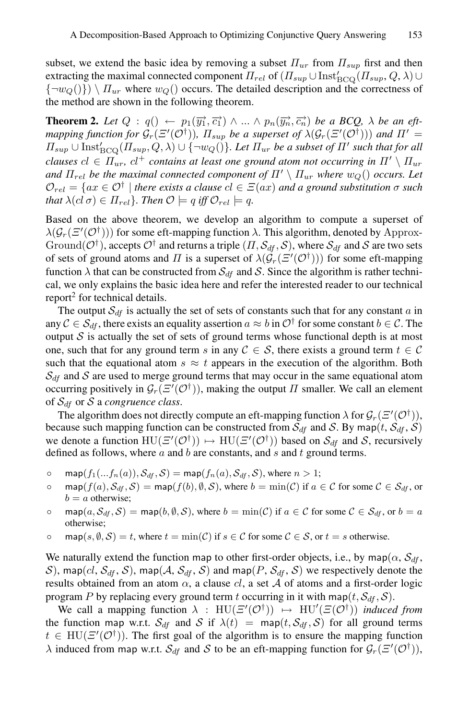subset, we extend the basic idea by removing a subset  $\Pi_{ur}$  from  $\Pi_{sup}$  first and then extracting the maximal connected component  $\Pi_{rel}$  of  $(\Pi_{sup} \cup \text{Inst}'_{\text{BCO}}(H_{sup}, Q, \lambda) \cup$  $\{\neg w_{\mathcal{O}}(\}\)\setminus \Pi_{ur}$  where  $w_{\mathcal{O}}(\)$  occurs. The detailed description and the correctness of the method are shown in the following theorem.

<span id="page-7-0"></span>**Theorem 2.** Let  $Q: q() \leftarrow p_1(\overrightarrow{y_1}, \overrightarrow{c_1}) \wedge ... \wedge p_n(\overrightarrow{y_n}, \overrightarrow{c_n})$  be a BCQ,  $\lambda$  be an eft*mapping function for*  $\mathcal{G}_r(\Xi'(\mathcal{O}^\dagger))$ ,  $\Pi_{sup}$  be a superset of  $\lambda(\mathcal{G}_r(\Xi'(\mathcal{O}^\dagger)))$  and  $\Pi' =$  $\Pi_{sup} \cup \text{Inst}_{BCO}^t(H_{sup}, Q, \lambda) \cup \{\neg w_Q(\hat{l}\}\text{.}$  Let  $\Pi_{ur}$  be a subset of  $\Pi'$  such that for all *clauses*  $cl \in \overline{\Pi}_{ur}$ ,  $cl^{+}$  *contains at least one ground atom not occurring in*  $\Pi' \setminus \Pi_{ur}$ *and*  $\Pi_{rel}$  be the maximal connected component of  $\Pi' \setminus \Pi_{ur}$  where  $w_Q()$  occurs. Let  $\mathcal{O}_{rel} = \{ax \in \mathcal{O}^\dagger \mid \text{there exists a clause } cl \in \Xi(ax) \text{ and a ground substitution } \sigma \text{ such that } \sigma \in \mathcal{O}$ *that*  $\lambda(cl \sigma) \in \Pi_{rel}$ *. Then*  $\mathcal{O} \models q$  *iff*  $\mathcal{O}_{rel} \models q$ *.* 

Based on the above theorem, we develop an algorithm to compute a superset of  $\lambda(\mathcal{G}_r(\Xi'(\mathcal{O}^\dagger)))$  for some eft-mapping function  $\lambda$ . This algorithm, denoted by Approx-Ground( $\mathcal{O}^{\dagger}$ ), accepts  $\mathcal{O}^{\dagger}$  and returns a triple  $(\Pi, \mathcal{S}_{df}, \mathcal{S})$ , where  $\mathcal{S}_{df}$  and  $\mathcal{S}$  are two sets of sets of ground atoms and  $\Pi$  is a superset of  $\lambda(\mathcal{G}_r(\Xi'(\mathcal{O}^+)))$  for some eft-mapping function  $\lambda$  that can be constructed from  $S_{df}$  and S. Since the algorithm is rather technical, we only explains the basic idea here and refer the interested reader to our technical report<sup>2</sup> for technical details.

The output  $S_{df}$  is actually the set of sets of constants such that for any constant a in any  $C \in S_{df}$ , there exists an equality assertion  $a \approx b$  in  $\mathcal{O}^{\dagger}$  for some constant  $b \in \mathcal{C}$ . The output  $S$  is actually the set of sets of ground terms whose functional depth is at most one, such that for any ground term s in any  $C \in S$ , there exists a ground term  $t \in C$ such that the equational atom  $s \approx t$  appears in the execution of the algorithm. Both  $S_{df}$  and S are used to merge ground terms that may occur in the same equational atom occurring positively in  $\mathcal{G}_r(\mathcal{Z}'(\mathcal{O}^{\dagger}))$ , making the output  $\Pi$  smaller. We call an element of  $S_{df}$  or S a *congruence class*.

The algorithm does not directly compute an eft-mapping function  $\lambda$  for  $\mathcal{G}_r(\mathcal{Z}'(\mathcal{O}^{\dagger}))$ , because such mapping function can be constructed from  $S_{df}$  and S. By map(t,  $S_{df}$ , S) we denote a function  $HU(\Xi'(\mathcal{O}^{\dagger})) \mapsto HU(\Xi'(\mathcal{O}^{\dagger}))$  based on  $S_{df}$  and S, recursively defined as follows, where  $a$  and  $b$  are constants, and  $s$  and  $t$  ground terms.

- map $(f_1(...f_n(a)), S_{df}, S)$  = map $(f_n(a), S_{df}, S)$ , where  $n > 1$ ;
- **•** map $(f(a), S_{df}, S) = \text{map}(f(b), \emptyset, S)$ , where  $b = \min(\mathcal{C})$  if  $a \in \mathcal{C}$  for some  $\mathcal{C} \in S_{df}$ , or  $b = a$  otherwise;
- **•** map $(a, S_{df}, S)$  = map $(b, \emptyset, S)$ , where  $b$  = min $(C)$  if  $a \in C$  for some  $C \in S_{df}$ , or  $b = a$ otherwise;
- map $(s, \emptyset, S) = t$ , where  $t = \min(\mathcal{C})$  if  $s \in \mathcal{C}$  for some  $\mathcal{C} \in \mathcal{S}$ , or  $t = s$  otherwise.

We naturally extend the function map to other first-order objects, i.e., by map( $\alpha$ ,  $S_{df}$ , S), map $(cl, S_{df}, S)$ , map $(A, S_{df}, S)$  and map $(P, S_{df}, S)$  we respectively denote the results obtained from an atom  $\alpha$ , a clause cl, a set A of atoms and a first-order logic program P by replacing every ground term t occurring in it with map( $t$ ,  $S_{df}$ ,  $S$ ).

We call a mapping function  $\lambda$  :  $HU(\Xi'(\mathcal{O}^{\dagger})) \rightarrow HU'(\Xi(\mathcal{O}^{\dagger}))$  *induced from* the function map w.r.t.  $S_{df}$  and S if  $\lambda(t)$  = map(t,  $S_{df}$ , S) for all ground terms  $t \in H\mathrm{U}(\mathrm{E}^{\prime}(\mathcal{O}^{\dagger}))$ . The first goal of the algorithm is to ensure the mapping function  $\lambda$  induced from map w.r.t.  $\mathcal{S}_{df}$  and S to be an eft-mapping function for  $\mathcal{G}_r(\Xi'(\mathcal{O}^{\dagger}))$ ,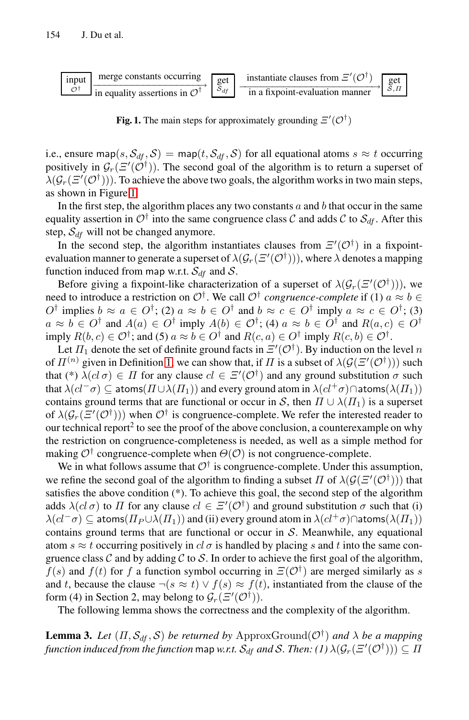

**Fig. 1.** The main steps for approximately grounding  $\mathcal{E}'(\mathcal{O}^{\dagger})$ 

i.e., ensure map(s,  $S_{df}$ , S) = map(t,  $S_{df}$ , S) for all equational atoms  $s \approx t$  occurring positively in  $\mathcal{G}_r(\Xi'(\mathcal{O}^{\dagger}))$ . The second goal of the algorithm is to return a superset of  $\lambda(\mathcal{G}_r(\Xi'(\mathcal{O}^\dagger)))$ . To achieve the above two goals, the algorithm works in two main steps, as shown in Figure 1.

In the first step, the algorithm places any two constants  $a$  and  $b$  that occur in the same equality assertion in  $\mathcal{O}^{\dagger}$  into the same congruence class C and adds C to  $\mathcal{S}_{df}$ . After this step,  $S_{df}$  will not be changed anymore.

In the second step, the algorithm instantiates clauses from  $\Xi'(\mathcal{O}^{\dagger})$  in a fixpointevalua[tio](#page-5-0)n manner to generate a superset of  $\lambda(\mathcal{G}_r(\Xi'(\mathcal{O}^+)))$ , where  $\lambda$  denotes a mapping function induced from map w.r.t.  $S_{df}$  and S.

Before giving a fixpoint-like characterization of a superset of  $\lambda(\mathcal{G}_r(\Xi'(\mathcal{O}^\dagger)))$ , we need to introduce a restriction on  $\mathcal{O}^{\dagger}$ . We call  $\mathcal{O}^{\dagger}$  *congruence-complete* if (1)  $a \approx b \in$  $O^{\dagger}$  implies  $b \approx a \in O^{\dagger}$ ; (2)  $a \approx b \in O^{\dagger}$  and  $b \approx c \in O^{\dagger}$  imply  $a \approx c \in O^{\dagger}$ ; (3)  $a \approx b \in O^{\dagger}$  and  $A(a) \in O^{\dagger}$  imply  $A(b) \in O^{\dagger}$ ; (4)  $a \approx b \in O^{\dagger}$  and  $R(a, c) \in O^{\dagger}$ imply  $R(b, c) \in \mathcal{O}^{\dagger}$ ; and (5)  $a \approx b \in \mathcal{O}^{\dagger}$  and  $R(c, a) \in \mathcal{O}^{\dagger}$  imply  $R(c, b) \in \mathcal{O}^{\dagger}$ .

Let  $\Pi_1$  denote the set of definite ground facts in  $\Xi'(\mathcal{O}^\dagger)$ . By induction on the level n of  $\Pi^{(n)}$  given in Definition 1, we can show that, if  $\Pi$  is a subset of  $\lambda(\mathcal{G}(\Xi'(\mathcal{O}^+)))$  such that (\*)  $\lambda(cl\sigma) \in \Pi$  for any clause  $cl \in \Xi'(\mathcal{O}^{\dagger})$  and any ground substitution  $\sigma$  such that  $\lambda(cl^-\sigma) \subseteq$  atoms( $\Pi \cup \lambda(\Pi_1)$ ) and every ground atom in  $\lambda(cl^+\sigma) \cap$ atoms( $\lambda(\Pi_1)$ ) contains ground terms that are functional or occur in S, then  $\Pi \cup \lambda(\Pi_1)$  is a superset of  $\lambda(G_r(\Xi'(\mathcal{O}^\dagger)))$  when  $\mathcal{O}^\dagger$  is congruence-complete. We refer the interested reader to our technical report<sup>2</sup> to see the proof of the above conclusion, a counterexample on why the restriction on congruence-completeness is needed, as well as a simple method for making  $\mathcal{O}^{\dagger}$  congruence-complete when  $\Theta(\mathcal{O})$  is not congruence-complete.

We in what follows assume that  $\mathcal{O}^{\dagger}$  is congruence-complete. Under this assumption, we refine the second goal of the algorithm to finding a subset  $\Pi$  of  $\lambda(\mathcal{G}(\mathcal{Z}'(\mathcal{O}^+)))$  that satisfies the above condition (\*). To achieve this goal, the second step of the algorithm adds  $\lambda(cl\sigma)$  to  $\Pi$  for any clause  $cl \in \Xi'(\mathcal{O}^{\dagger})$  and ground substitution  $\sigma$  such that (i)  $\lambda(cl^-\sigma) \subseteq$  atoms( $\Pi_P \cup \lambda(\Pi_1)$ ) and (ii) every ground atom in  $\lambda(cl^+\sigma) \cap$ atoms( $\lambda(\Pi_1)$ ) contains ground terms that are functional or occur in  $S$ . Meanwhile, any equational atom  $s \approx t$  occurring positively in  $cl \sigma$  is handled by placing s and t into the same congruence class C and by adding C to S. In order to achieve the first goal of the algorithm,  $f(s)$  and  $f(t)$  for f a function symbol occurring in  $E(O^{\dagger})$  are merged similarly as s and t, because the clause  $\neg(s \approx t) \lor f(s) \approx f(t)$ , instantiated from the clause of the form (4) in Section 2, may belong to  $\mathcal{G}_r(\mathcal{F}'(\mathcal{O}^{\dagger}))$ .

The following lemma shows the correctness and the complexity of the algorithm.

**Lemma 3.** *Let*  $(\Pi, \mathcal{S}_{df}, \mathcal{S})$  *be returned by* ApproxGround( $\mathcal{O}^{\dagger}$ ) *and*  $\lambda$  *be a mapping* function induced from the function map w.r.t.  $\mathcal{S}_{df}$  and S. Then: (1)  $\lambda(\mathcal{G}_r(\Xi'(\mathcal{O}^\dagger)))\subseteq \Pi$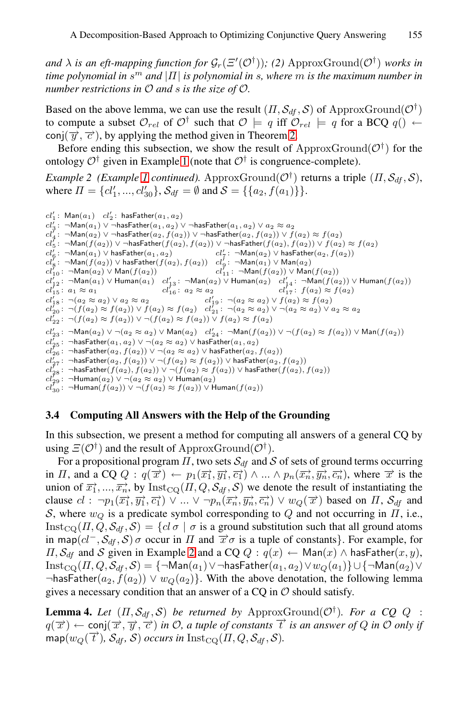<span id="page-9-0"></span>*[an](#page-4-2)d*  $\lambda$  *is an eft-mapping function for*  $\mathcal{G}_r(\Xi'(\mathcal{O}^\dagger));$  (2) ApproxGround $(\mathcal{O}^\dagger)$  *works in ti[m](#page-4-2)e polynomial in*  $s^m$  *and*  $|I|$  *is polynomial in s, where m is the maximum number in number restrictions in* O *and* s *is the size of* O*.*

Based on the above lemma, we can use the result  $(\Pi, \mathcal{S}_{df}, \mathcal{S})$  of ApproxGround $(\mathcal{O}^{\dagger})$ to compute a subset  $\mathcal{O}_{rel}$  of  $\mathcal{O}^{\dagger}$  such that  $\mathcal{O} \models q$  iff  $\mathcal{O}_{rel} \models q$  for a BCQ  $q() \leftarrow$ conj $(\vec{y}, \vec{c})$ , by applying the method given in Theorem 2.

Before ending this subsection, we show the result of ApproxGround( $\mathcal{O}^{\dagger}$ ) for the ontology  $\mathcal{O}^{\dagger}$  given in Example 1 (note that  $\mathcal{O}^{\dagger}$  is congruence-complete).

*Example 2 (Example 1 continued).* ApproxGround( $\mathcal{O}^{\dagger}$ ) returns a triple  $(\Pi, \mathcal{S}_{df}, \mathcal{S})$ , where  $\Pi = \{cl'_1, ..., cl'_{30}\}, \mathcal{S}_{df} = \emptyset$  and  $\mathcal{S} = \{\{a_2, f(a_1)\}\}.$ 

```
cl-

1 : Man(a1) cl-

2 : hasFather(a1, a2)
\begin{array}{l} cl'_3\colon \neg {\sf Man}(a_1) \lor \neg {\sf hasFather}(a_1,a_2) \lor \neg {\sf hasFather}(a_1,a_2) \lor a_2 \approx a_2 \\ cl'_4\colon \neg {\sf Man}(a_2) \lor \neg {\sf hasFather}(a_2,f(a_2)) \lor \neg {\sf hasFather}(a_2,f(a_2)) \lor f(a_2) \approx f(a_2) \\ cl'_5\colon \neg {\sf Man}(f(a_2)) \lor \neg {\sf hasFather}(f(a_2),f(a_2)) \lor \neg {\sf hasFather}(f(a_2),f(a_2)) \lor f(a_2) \approx f(a_2) \end{array}cl'\frac{1}{6}: ¬Man(a_1) \vee hasFather(a_1,a_2) cl^{\prime}_7: ¬Man(a_2) \vee hasFather(a_2,f(a_2))cl.
     \frac{g}{8}: ¬Man(f(a_2))\vee hasFather(f(a_2),f(a_2)) \; \; \; \!f(\frac{g}{2}) \; \; \!-\!Man(a_1)\vee Man(a_2)cl-
     \sum_{10}: ¬Man(a_2) ∨ Man(f(a_2))\frac{1}{10}: ¬Man(a_2) \vee Man(f(a_2)) \qquad \qquad \qquad \qquad \qquad \qquad \qquad \qquad \qquad \qquad \qquad \qquad \qquad \qquad \qquad \qquad \qquad \qquad \qquad \qquad \qquad \qquad \qquad \qquad \qquad \qquad \qquad \qquad \qquad \qquad \qquad \qquad \qquad \qquad \qquad \qquad \qquad \qquad \qquad \qquad 
\begin{array}{ll} cl'_{12}: \neg {\sf Man}(a_1) \lor {\sf Human}(a_1) & cl'_{13}: \neg {\sf Man}(a_2) \lor {\sf Human}(a_2) & cl'_{14}: \neg {\sf Man}(f(a_2)) \lor {\sf Human}(f(a_2)) \\ cl'_{15}: \ a_1 \approx a_1 & cl'_{16}: \ a_2 \approx a_2 & cl'_{17}: \ f(a_2) \approx f(a_2) \end{array}\begin{aligned} cl'_{18}: \neg(a_2 \approx a_2) \vee a_2 \approx a_2 & cl'_{19}: \neg(a_2 \approx a_2) \vee f(a_2) \approx f(a_2) \\ cl'_{20}: \neg(f(a_2) \approx f(a_2)) \vee f(a_2) \approx f(a_2) & cl'_{21}: \neg(a_2 \approx a_2) \vee \neg(a_2 \approx a_2) \vee a_2 \approx a_2 \end{aligned}cl'_{22}: \ \neg (f(a_2) \approx f(a_2)) \lor \neg (f(a_2) \approx f(a_2)) \lor f(a_2) \approx f(a_2)cl'_{23}: ¬Man(a_2) \vee \neg (a_2 \approx a_2) \vee Man(a_2) cl'_{24}: ¬Man(f(a_2)) \vee \neg (f(a_2) \approx f(a_2)) \vee Man(f(a_2))\mathit{cl}'_{25}: ¬hasFather(a_1,a_2) \lor ¬(a_2 \approx a_2) \lor hasFather(a_1,a_2)\textit{cl}_{26}^{\mathcal{T}^\circ}: ¬hasFather(a_2,f(a_2))\vee \neg(a_2\approx a_2)\vee \textsf{hasFather}(a_2,f(a_2))cl_{27}^{\prime}: ¬hasFather(a_2, f(a_2)) \vee \neg(f(a_2) \approx f(a_2)) \vee hasFather(a_2, f(a_2))<br>cl_{28}^{\prime}: ¬hasFather(f(a_2), f(a_2)) \vee \neg(f(a_2) \approx f(a_2)) \vee hasFather(f(a_2), f(a_2))\overline{cl_{29}^{\prime}}: ¬Human(a_2) \vee \neg (a_2 \approx a_2) \vee Human(a_2)\text{cl}_{30}^{\mathcal{F}^\circ}: ¬Human(f(a_2)) \vee \neg (f(a_2) \approx f(a_2)) \vee Human(f(a_2))
```
#### **3.4 Computing All Answers with the Help of the Grounding**

In this subsection, we present a method for computing all answers of a general CQ by using  $\Xi(\mathcal{O}^{\dagger})$  $\Xi(\mathcal{O}^{\dagger})$  and the result of ApproxGround( $\mathcal{O}^{\dagger}$ ).

<span id="page-9-1"></span>For a propositional program  $\Pi$ , two sets  $S_{df}$  and S of sets of ground terms occurring in  $\Pi$ , and a CQ  $Q : q(\overrightarrow{x}) \leftarrow p_1(\overrightarrow{x_1}, \overrightarrow{y_1}, \overrightarrow{c_1}) \wedge ... \wedge p_n(\overrightarrow{x_n}, \overrightarrow{y_n}, \overrightarrow{c_n})$ , where  $\overrightarrow{x}$  is the union of  $\overrightarrow{x_1},...,\overrightarrow{x_n}$ , by  $\text{Inst}_{\text{CQ}}(\overrightarrow{H},\overrightarrow{Q},\mathcal{S}_{df},\mathcal{S})$  we denote the result of instantiating the clause  $cl : \neg p_1(\overrightarrow{x_1}, \overrightarrow{y_1}, \overrightarrow{c_1}) \vee \dots \vee \neg p_n(\overrightarrow{x_n}, \overrightarrow{y_n}, \overrightarrow{c_n}) \vee w_Q(\overrightarrow{x})$  based on  $\Pi$ ,  $S_{df}$  and S, where  $w_Q$  is a predicate symbol corresponding to Q and not occurring in  $\Pi$ , i.e., Inst<sub>CQ</sub> $(H, Q, S_{df}, S) = \{cl \sigma \mid \sigma \text{ is a ground substitution such that all ground atoms }\}$ in map( $cl^-$ ,  $S_{df}$ , S)  $\sigma$  occur in  $\Pi$  and  $\vec{x}\sigma$  is a tuple of constants}. For example, for  $\Pi$ ,  $S_{df}$  and S given in Example 2 and a CQ  $Q$  :  $q(x) \leftarrow \text{Man}(x) \wedge \text{hasFather}(x, y)$ ,  $\text{Inst}_{\text{CQ}}(II, Q, \mathcal{S}_{df}, \mathcal{S}) = \{\neg \text{Man}(a_1) \lor \neg \text{hasFather}(a_1, a_2) \lor w_Q(a_1)\} \cup \{\neg \text{Man}(a_2) \lor w_Q(a_2)\}$  $\neg$ hasFather(a<sub>2</sub>,  $f(a_2)$ )  $\vee w_O(a_2)$ . With the above denotation, the following lemma gives a necessary condition that an answer of a CO in  $\mathcal O$  should satisfy.

**Lemma 4.** Let  $(\Pi, \mathcal{S}_{df}, \mathcal{S})$  be returned by ApproxGround( $\mathcal{O}^{\dagger}$ ). For a CQ Q :  $q(\vec{x}) \leftarrow \text{conj}(\vec{x}, \vec{y}, \vec{c})$  *in*  $\mathcal{O}$ , a tuple of constants  $\vec{t}$  *is an answer of*  $Q$  *in*  $\mathcal{O}$  *only if*  $\exp(w_Q(\vec{t}), S_{df}, S)$  *occurs in* Inst<sub>CQ</sub>( $\Pi, Q, S_{df}, S$ ).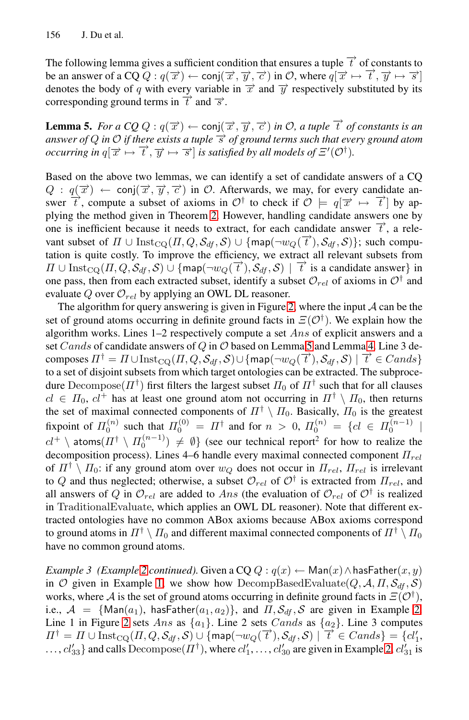<span id="page-10-0"></span>The following lemma gives a sufficient condition that ensures a tuple  $\vec{t}$  of constants to be an answer of a CQ  $Q : q(\vec{x}) \leftarrow \text{conj}(\vec{x}, \vec{y}, \vec{c})$  in O, where  $q[\vec{x} \mapsto \vec{t}, \vec{y} \mapsto \vec{s}]$ denotes the body of q with every variable in  $\vec{x}$  and  $\vec{y}$  respectively substituted by its corresponding ground terms in  $\vec{t}$  and  $\vec{s}$ .

**Lemma 5.** *For a CQ*  $Q$  :  $q(\vec{x}) \leftarrow \text{conj}(\vec{x}, \vec{y}, \vec{c})$  *in*  $\mathcal{O}$ , *a tuple*  $\vec{t}$  *of constants is an answer of* Q *in*  $\circ$  *if there exists a tuple*  $\vec{\cdot}$  *of ground terms such that every ground atom occurring in*  $q[\vec{x} \mapsto \vec{t}, \vec{y} \mapsto \vec{s}]$  *is satisfied by all models of*  $\vec{z}'(0^{\dagger})$ .

Based on the above two lemmas, we can identify a set of candidate answers of a CQ  $Q : q(\overrightarrow{x}) \leftarrow \text{conj}(\overrightarrow{x}, \overrightarrow{y}, \overrightarrow{c})$  in O. Afterwards, we may, for every candidate answer  $\overrightarrow{t}$ , compute a subset of ax[iom](#page-11-0)s in  $\mathcal{O}^{\dagger}$  to check if  $\mathcal{O} \models q[\overrightarrow{x} \mapsto \overrightarrow{t}]$  by applying the method given in Theorem 2. However, handling candidate answers one by one is inefficient because it needs to extract, for each candidate answer  $\vec{t}$ , a relevant subset of  $\Pi \cup \text{Inst}_{CQ}(\Pi, Q, S_{df}, S) \cup \{\text{map}(\neg w_Q(\vec{t}), S_{df}, S)\}\)$  $\Pi \cup \text{Inst}_{CQ}(\Pi, Q, S_{df}, S) \cup \{\text{map}(\neg w_Q(\vec{t}), S_{df}, S)\}\)$  $\Pi \cup \text{Inst}_{CQ}(\Pi, Q, S_{df}, S) \cup \{\text{map}(\neg w_Q(\vec{t}), S_{df}, S)\}\)$ ; such computation is quite costly. To improve the efficiency, we extract all relevant subsets from  $\Pi \cup \text{Inst}_{\text{CQ}}(\Pi, Q, \mathcal{S}_{df}, \mathcal{S}) \cup \{\text{map}(\neg w_Q(\vec{t}), \mathcal{S}_{df}, \mathcal{S}) \mid \vec{t} \text{ is a candidate answer}\}\$  in one pass, then from each extracted subset, identify a subset  $\mathcal{O}_{rel}$  of axioms in  $\mathcal{O}^{\dagger}$  and evaluate Q over  $\mathcal{O}_{rel}$  by applying an OWL DL reasoner.

The algorithm for query answering is given in Figure 2, where the input  $A$  can be the set of ground atoms occurring in definite ground facts in  $\mathcal{E}(\mathcal{O}^{\dagger})$ . We explain how the algorithm works. Lines 1–2 respectively compute a set Ans of explicit answers and a set Cands of candidate answers of Q in O based on Lemma 5 and Lemma 4. Line 3 decomposes  $\Pi^{\dagger} = \Pi \cup \text{Inst}_{\text{CQ}}(\Pi, Q, \mathcal{S}_{df}, \mathcal{S}) \cup \{\text{map}(\neg w_Q(\vec{\tau}), \mathcal{S}_{df}, \mathcal{S}) \mid \vec{\tau} \in \text{Cands}\}$ to a set of disjoint subsets from which target ontologies can be extracted. The subprocedure Decompose( $\Pi^{\dagger}$ ) first filters the largest subset  $\Pi_0$  of  $\Pi^{\dagger}$  such that for all clauses  $cl \in \Pi_0$ ,  $cl^+$  has at least one ground atom not occurring in  $\Pi^{\dagger} \setminus \Pi_0$ , then returns the set of maximal connected components of  $\Pi^{\dagger} \setminus \Pi_0$ . Basically,  $\Pi_0$  is the greatest fixpoint of  $\Pi_0^{(n)}$  such that  $\Pi_0^{(0)} = \Pi^{\dagger}$  and for  $n > 0$ ,  $\Pi_0^{(n)} = \{cl \in \Pi_0^{(n-1)} \mid$  $cl^+ \setminus \text{atoms}(\overline{H}^{\dagger} \setminus \overline{H}_0^{(n-1)}) \neq \emptyset$  (see our technical report<sup>2</sup> for how to realize the decomposition process). Lines 4–6 handle every maximal connected component  $\Pi_{rel}$ [of](#page-9-0)  $\Pi^{\dagger} \setminus \Pi_0$ : if any ground atom over  $w_Q$  does not occur in  $\Pi_{rel}$ ,  $\Pi_{rel}$  is irrelevant to Q [a](#page-4-2)nd thus neglected; otherwise, a subset  $\mathcal{O}_{rel}$  of  $\mathcal{O}^{\dagger}$  is extracted from  $\Pi_{rel}$ , and all answers of Q in  $\mathcal{O}_{rel}$  are added to Ans (the evaluation of  $\mathcal{O}_{rel}$  of  $\mathcal{O}^{\dagger}$  is realized in TraditionalEvaluate, which applies an OWL DL reasoner). [N](#page-9-0)ote that different extracted ontologies have no common ABox axioms because ABox axioms correspond to ground atoms in  $\Pi^{\dagger} \setminus \Pi_0$  and different maximal connected components of  $\Pi^{\dagger} \setminus \Pi_0$ have no common ground atoms.

<span id="page-10-1"></span>*Example 3 (Example 2 continued).* Given a CQ  $Q : q(x) \leftarrow \text{Man}(x) \wedge \text{hasFather}(x, y)$ in O given in Example 1, we show how DecompBasedEvaluate $(Q, \mathcal{A}, \Pi, \mathcal{S}_{df}, \mathcal{S})$ works, where A is the set of ground atoms occurring in definite ground facts in  $E(O^{\dagger})$ , i.e.,  $A = \{Man(a_1), hasFather(a_1, a_2)\}\$ , and  $\Pi$ ,  $S_{df}$ ,  $S$  are given in Example 2. Line 1 in Figure 2 sets Ans as  $\{a_1\}$ . Line 2 sets Cands as  $\{a_2\}$ . Line 3 computes  $\Pi^{\dagger} = \Pi \cup \text{Inst}_{\text{CQ}}(\Pi, Q, \mathcal{S}_{df}, \mathcal{S}) \cup \{\text{map}(\neg w_Q(\vec{\tau}), \mathcal{S}_{df}, \mathcal{S}) \mid \vec{\tau} \in \text{Cands}\} = \{cl'_1,$ ...,  $cl'_{33}$ } and calls Decompose( $\Pi^{\dagger}$ ), where  $cl'_{1}, \ldots, cl'_{30}$  are given in Example 2,  $cl'_{31}$  is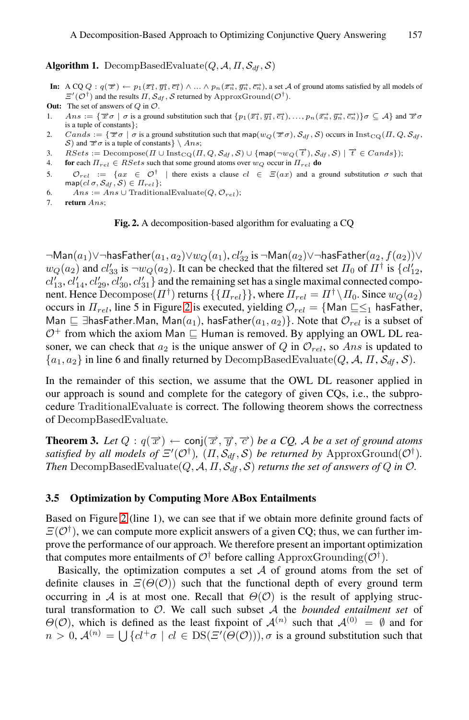**Algorithm 1.** DecompBasedEvaluate( $Q, A, \Pi, S_{df}, S$ )

- **In:** A CQ  $Q: q(\vec{x}) \leftarrow p_1(\vec{x}_1, \vec{y}_1, \vec{c}_1) \wedge ... \wedge p_n(\vec{x}_n, \vec{y}_n, \vec{c}_n)$ , a set A of ground atoms satisfied by all models of  $\Xi'(\mathcal{O}^{\dagger})$  and the results  $\Pi$ ,  $\mathcal{S}_{df}$ ,  $\mathcal S$  returned by ApproxGround $(\mathcal{O}^{\dagger})$ .
- **Out:** The set of answers of Q in  $\mathcal{O}$ .
- 1. Ans :=  $\{\vec{x}\sigma \mid \sigma \text{ is a ground substitution such that } \{p_1(\vec{x}_1, \vec{y}_1, \vec{c}_1), \ldots, p_n(\vec{x}_n, \vec{y}_n, \vec{c}_n)\}\sigma \subseteq A\}$  and  $\vec{x}\sigma$ is a tuple of constants};
- <span id="page-11-0"></span>2. Cands :=  $\{\vec{x}\sigma \mid \sigma \text{ is a ground substitution such that } \text{map}(w_O(\vec{x}\sigma), \mathcal{S}_{df}, \mathcal{S}) \text{ occurs in } \text{Inst}_{CO}(H, Q, \mathcal{S}_{df}, \mathcal{S}_{df})\}$ S) and  $\overrightarrow{x} \sigma$  is a tuple of constants} \ Ans;
- 3.  $R\overline{Sets} := \text{Decompose}(H \cup \text{Inst}_{\text{CQ}}(H, Q, \mathcal{S}_{df}, \mathcal{S}) \cup \{\text{map}(\neg w_Q(\overrightarrow{t}), \mathcal{S}_{df}, \mathcal{S}) \mid \overrightarrow{t} \in Cands\};$
- 4. **for** each  $\Pi_{rel} \in RSets$  such that some ground atoms over  $w_Q$  occur in  $\Pi_{rel}$  **do**
- 5.  $\mathcal{O}_{rel} := \{ax \in \mathcal{O}^{\dagger} \mid \text{there exists a clause } cl \in \Xi(ax) \text{ and a ground substitution } \sigma \text{ such that } \text{map}(cl \sigma, S_{df}, S) \in \Pi_{rel} \};$
- 6. Ans := Ans ∪ TraditionalEvaluate( $Q, \mathcal{O}_{rel}$ );<br>7. **return** Ans:
- return [Ans](#page-11-0);

**Fig. 2.** A decomposition-based algorithm for evaluating a CQ

 $\neg$ Man $(a_1)$ ∨ $\neg$ has $\mathsf{Father}(a_1, a_2) \vee w_Q(a_1), cl'_{32}$  is  $\neg$ Man $(a_2) \vee \neg$ has $\mathsf{Father}(a_2, f(a_2)) \vee \neg$  $w_Q(a_2)$  and  $cl'_{33}$  is  $\neg w_Q(a_2)$ . It can be checked that the filtered set  $\Pi_0$  of  $\Pi^{\dagger}$  is  $\{cl'_{12},$  $cl'_{13}, cl'_{14}, cl'_{29}, cl'_{30}, cl'_{31}$  and the remaining set has a single maximal connected component. Hence Decompose( $\Pi^{\dagger}$ ) returns {{ $\Pi_{rel}$ }}, where  $\Pi_{rel} = \Pi^{\dagger} \setminus \Pi_0$ . Since  $w_Q(a_2)$ occurs in  $\Pi_{rel}$ , line 5 in Figure 2 is executed, yielding  $\mathcal{O}_{rel} = \{ \text{Man } \sqsubseteq \leq_1 \text{ hasFather, } \}$ Man  $\sqsubseteq$   $\exists$ hasFather.Man, Man $(a_1)$ , hasFather $(a_1, a_2)$ }. Note that  $\mathcal{O}_{rel}$  is a subset of  $\mathcal{O}^+$  from which the axiom Man  $\subseteq$  Human is removed. By applying an OWL DL reasoner, we can check that  $a_2$  is the unique answer of Q in  $\mathcal{O}_{rel}$ , so Ans is updated to  ${a_1, a_2}$  in line 6 and finally returned by DecompBasedEvaluate(Q, A,  $\Pi$ ,  $S_{df}$ , S).

In the remainder of this section, we assume that the OWL DL reasoner applied in our approach is sound and complete for the category of given CQs, i.e., the subprocedure TraditionalEvaluate is correct. The following theorem shows the correctness of DecompBasedEvaluate.

**Theorem 3.** Let  $Q: q(\vec{x}) \leftarrow \text{conj}(\vec{x}, \vec{y}, \vec{c})$  *be a CQ,* A *be a set of ground atoms satisfied by all models of*  $\Xi'(\mathcal{O}^{\dagger})$ ,  $(\Pi, \mathcal{S}_{df}, \mathcal{S})$  *be returned by* ApproxGround( $\mathcal{O}^{\dagger}$ ). *Then* DecompBasedEvaluate( $Q$ ,  $A$ ,  $\Pi$ ,  $S$ <sub>df</sub>,  $S$ ) *returns the set of answers of*  $Q$  *in*  $O$ .

#### **3.5 Optimization by Computing More ABox Entailments**

Based on Figure 2 (line 1), we can see that if we obtain more definite ground facts of  $E(O^{\dagger})$ , we can compute more explicit answers of a given CQ; thus, we can further improve the performance of our approach. We therefore present an important optimization that computes more entailments of  $\mathcal{O}^{\dagger}$  before calling ApproxGrounding( $\mathcal{O}^{\dagger}$ ).

Basically, the optimization computes a set  $A$  of ground atoms from the set of definite clauses in  $\Xi(\Theta(\mathcal{O}))$  such that the functional depth of every ground term occurring in A is at most one. Recall that  $\Theta(\mathcal{O})$  is the result of applying structural transformation to O. We call such subset A the *bounded entailment set* of  $\Theta(\mathcal{O})$ , which is defined as the least fixpoint of  $\mathcal{A}^{(n)}$  such that  $\mathcal{A}^{(0)} = \emptyset$  and for  $n > 0$ ,  $\mathcal{A}^{(n)} = \bigcup \{ cl^+ \sigma \mid cl \in \text{DS}(\mathcal{Z}^i(\Theta(\mathcal{O}))), \sigma \text{ is a ground substitution such that }$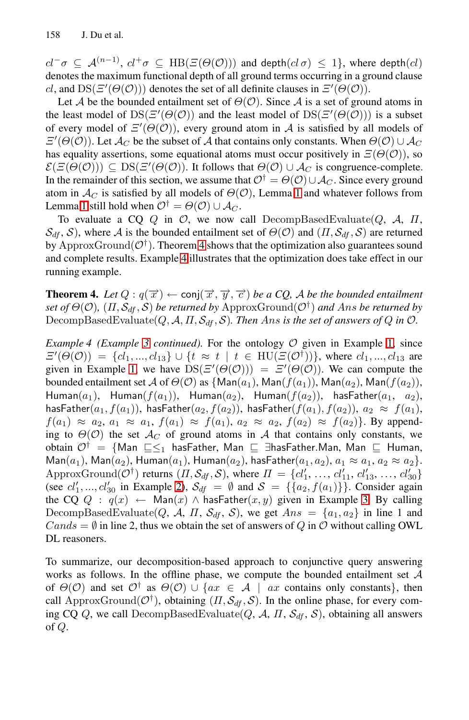$cl^-\sigma \subseteq A^{(n-1)}, cl^+\sigma \subseteq \text{HB}(\Xi(\Theta(\mathcal{O})))$  and depth $(cl \sigma) \leq 1$ , where depth $(cl)$ denotes the maximum functional depth of all ground terms occurring in a ground clause cl, and  $DS(\mathcal{Z}'(\Theta(\mathcal{O})))$  denotes the [set](#page-4-1) of all definite clauses in  $\mathcal{Z}'(\Theta(\mathcal{O}))$ .

Let A be the bounded entailment set of  $\Theta(\mathcal{O})$ . Since A is a set of ground atoms in the least model of  $DS(\Xi'(\Theta(\mathcal{O}))$  and the least model of  $DS(\Xi'(\Theta(\mathcal{O})))$  is a subset of every model of  $\mathcal{Z}'(\Theta(\mathcal{O}))$ , every ground atom in A is satisfied by all models of  $\Xi'(\Theta(\mathcal{O}))$  $\Xi'(\Theta(\mathcal{O}))$  $\Xi'(\Theta(\mathcal{O}))$ . Let  $\mathcal{A}_C$  be the subset of  $\mathcal A$  that contains only constants. When  $\Theta(\mathcal{O}) \cup \mathcal A_C$ has equal[ity](#page-12-1) assertions, some equational atoms must occur positively in  $E(\Theta(\mathcal{O}))$ , so  $\mathcal{E}(\Xi(\Theta(\mathcal{O}))) \subseteq \text{DS}(\Xi'(\Theta(\mathcal{O})).$  It follows that  $\Theta(\mathcal{O}) \cup \mathcal{A}_{\mathcal{C}}$  is congruence-complete. In the remainder of this section, we assume that  $\mathcal{O}^{\dagger} = \Theta(\mathcal{O}) \cup \mathcal{A}_{C}$ . Since every ground atom in  $\mathcal{A}_{C}$  is satisfied by all models of  $\Theta(\mathcal{O})$ , Lemma 1 and whatever follows from Lemma 1 still hold when  $\mathcal{O}^{\dagger} = \Theta(\mathcal{O}) \cup \mathcal{A}_{C}$ .

<span id="page-12-1"></span><span id="page-12-0"></span>To evaluate a CQ Q in  $\mathcal{O}$ , we now call DecompBasedEvaluate( $Q$ ,  $\mathcal{A}$ ,  $\Pi$ ,  $S_{df}$ , S), where A is the bounded entailment set of  $\Theta(\mathcal{O})$  and  $(\Pi, \mathcal{S}_{df}, \mathcal{S})$  are returned b[y](#page-10-1) ApproxGround( $\mathcal{O}^{\dagger}$ ). Theorem 4 shows that the opti[miz](#page-4-2)ation also guarantees sound and complete results. Example 4 illustrates that the optimization does take effect in our [r](#page-4-2)unning example.

**Theorem 4.** *Let*  $Q: q(\vec{x}) \leftarrow \text{conj}(\vec{x}, \vec{y}, \vec{c})$  *be a CQ, A be the bounded entailment set of*  $\Theta(\mathcal{O})$ *,*  $(\Pi, \mathcal{S}_{df}, \mathcal{S})$  *be returned by* ApproxGround $(\mathcal{O}^{\dagger})$  *and Ans be returned by* DecompBasedEvaluate( $Q$ ,  $A$ ,  $\Pi$ ,  $S_{df}$ ,  $S$ ). Then Ans is the set of answers of  $Q$  in  $O$ .

*Example 4 (Example 3 continued).* For the ontology  $O$  given in Example 1, since  $\mathcal{Z}'(\Theta(\mathcal{O})) = \{cl_1, ..., cl_{13}\} \cup \{t \approx t \mid t \in \text{HU}(\mathcal{Z}(\mathcal{O}^{\dagger}))\}, \text{ where } cl_1, ..., cl_{13} \text{ are }$ given in Example 1, we have  $DS(\Xi'(\Theta(\mathcal{O}))) = \Xi'(\Theta(\mathcal{O}))$ . We can compute the bounded [en](#page-9-0)tailment set A of  $\Theta(\mathcal{O})$  as  $\{\text{Man}(a_1), \text{Man}(f(a_1)), \text{Man}(a_2), \text{Man}(f(a_2)),\}$ Hu[ma](#page-10-1)n $(a_1)$ , Human $(f(a_1))$ , Human $(a_2)$ , Human $(f(a_2))$ , hasFather $(a_1, a_2)$ , hasFather $(a_1, f(a_1))$ , hasFather $(a_2, f(a_2))$ , hasFather $(f(a_1), f(a_2))$ ,  $a_2 \approx f(a_1)$ ,  $f(a_1) \approx a_2, a_1 \approx a_1, f(a_1) \approx f(a_1), a_2 \approx a_2, f(a_2) \approx f(a_2)$ . By appending to  $\Theta(\mathcal{O})$  the set  $\mathcal{A}_{C}$  of ground atoms in A that contains only constants, we obtain  $\mathcal{O}^\dagger\ =\ \{$ Man  $\sqsubseteq\leq_1\,$  has $\mathsf{Father},$  Man  $\sqsubseteq\,$   $\exists$ has $\mathsf{Father}.\mathsf{Man},$  Man  $\sqsubseteq\,$  Human,  $\textsf{Man}(a_1)$ ,  $\textsf{Man}(a_2)$ ,  $\textsf{Human}(a_1)$ ,  $\textsf{Human}(a_2)$ ,  $\textsf{hasFather}(a_1, a_2)$ ,  $a_1 \approx a_1, a_2 \approx a_2$ . ApproxGround $(\mathcal{O}^{\dagger})$  returns  $(\Pi, \mathcal{S}_{df}, \mathcal{S})$ , where  $\Pi = \{cl'_1, \ldots, cl'_{11}, cl'_{13}, \ldots, cl'_{30}\}$ (see  $cl'_1, ..., cl'_{30}$  in Example 2),  $S_{df} = \emptyset$  and  $S = \{\{a_2, f(a_1)\}\}\.$  Consider again the CQ  $Q : q(x) \leftarrow \text{Man}(x) \land \text{hasFather}(x, y)$  given in Example 3. By calling DecompBasedEvaluate(Q, A,  $\Pi$ ,  $S_{df}$ , S), we get  $Ans = \{a_1, a_2\}$  in line 1 and  $Cands = \emptyset$  in line 2, thus we obtain the set of answers of Q in O without calling OWL DL reasoners.

To summarize, our decomposition-based approach to conjunctive query answering works as follows. In the offline phase, we compute the bounded entailment set A of  $\Theta(\mathcal{O})$  and set  $\mathcal{O}^{\dagger}$  as  $\Theta(\mathcal{O}) \cup \{ax \in \mathcal{A} \mid ax$  contains only constants}, then call ApproxGround( $\mathcal{O}^{\dagger}$ ), obtaining  $(\Pi, \mathcal{S}_{df}, \mathcal{S})$ . In the online phase, for every coming CQ Q, we call DecompBasedEvaluate( $Q$ , A,  $\Pi$ ,  $S_{df}$ ,  $S$ ), obtaining all answers of Q.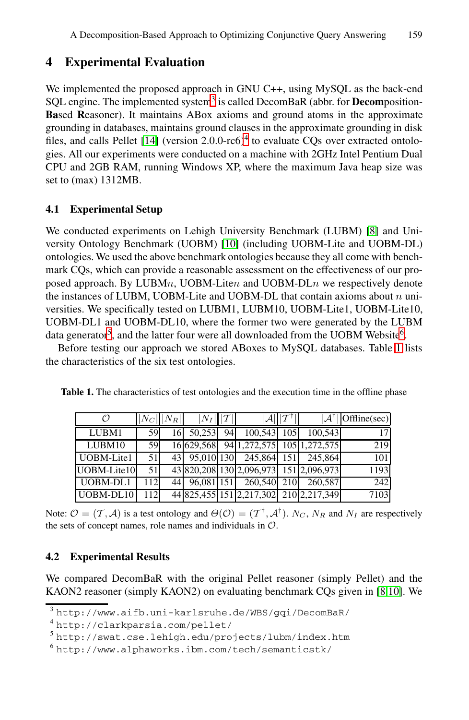# **4 Experimental Evaluation**

We implemented the proposed approach in GNU C++, using MySQL as the back-end SQL engine. The implemented system<sup>3</sup> is called DecomBaR (abbr. for **Decom**position-**Ba**sed **R**easoner). It maintains ABox axioms and ground atoms in the approximate grounding in databases, maintains ground clauses in t[he](#page-16-2) approximate grounding in disk files, and calls Pellet  $[14]$  (version 2.0.0-rc6)<sup>4</sup> to evaluate CQs over extracted ontologies. All our experiments were conducted on a machine with 2GHz Intel Pentium Dual CPU and 2GB RAM, running Windows XP, where the maximum Java heap size was set to (max) 1312MB.

### **4.1 Experimental Setup**

We conducted experiments on Lehigh University Benchm[ark](#page-13-1) (LUBM) [8] and University Ontology Benchmark (UOBM) [10] (including U[OB](#page-13-2)M-Lite and UOBM-DL) ontologies. We used the above benchmark ontologies because they all come with benchmark CQs, which can provide a reasonable assessment on the effectiveness of our proposed approach. By LUBMn, UOBM-Liten and UOBM-DLn we respectively denote the instances of LUBM, UOBM-Lite and UOBM-DL that contain axioms about  $n$  universities. We specifically tested on LUBM1, LUBM10, UOBM-Lite1, UOBM-Lite10, UOBM-DL1 and UOBM-DL10, where the former two were generated by the LUBM data generator<sup>5</sup>, and the latter four were all downloaded from the UOBM Website<sup>6</sup>.

<span id="page-13-2"></span>Before testing our approach we stored ABoxes to MySQL databases. Table 1 lists the characteristics of the six test ontologies.

| Ο           | $ N_C $ $ N_R $ |    | $ N_I    \mathcal{T}  $ |    | $ \mathcal{A}   \mathcal{T} $               |     |         | $ \mathcal{A}^{\dagger} $ Offline(sec) |
|-------------|-----------------|----|-------------------------|----|---------------------------------------------|-----|---------|----------------------------------------|
| LUBM1       | 59              | 16 | 50.253                  | 94 | 100,543 105                                 |     | 100,543 | 17                                     |
| LUBM10      | 59              |    | 16 629,568              |    | 94 1, 272, 575 105 1, 272, 575              |     |         | 219                                    |
| UOBM-Lite1  | 51              | 43 |                         |    | 95,010 130 245,864 151                      |     | 245,864 | 101                                    |
| UOBM-Lite10 | 51              |    |                         |    | 43 820, 208 130 2, 096, 973 151 2, 096, 973 |     |         | 1193                                   |
| UOBM-DL1    | 112             | 44 | 96.081 151              |    | 260,540                                     | 210 | 260,587 | 242                                    |
| UOBM-DL10   | 112             |    |                         |    | 44 825,455 151 2,217,302 210 2,217,349      |     |         | 7103                                   |

**Table 1.** The characteristics of test ontologies and the execution time in the offline phase

<span id="page-13-0"></span>Note:  $\mathcal{O} = (\mathcal{T}, \mathcal{A})$  [is a test ontology and](http://www.aifb.uni-karlsruhe.de/WBS/gqi/DecomBaR/)  $\Theta(\mathcal{O})=(\mathcal{T}^{\dagger}, \mathcal{A}^{\dagger})$ . N<sub>C</sub>, N<sub>R</sub> and N<sub>I</sub> are respectively [the sets of concept names](http://clarkparsia.com/pellet/), role names and individuals in O.

#### <span id="page-13-1"></span>**[4.2](http://www.alphaworks.ibm.com/tech/semanticstk/) [Experimental](http://www.alphaworks.ibm.com/tech/semanticstk/) [Results](http://www.alphaworks.ibm.com/tech/semanticstk/)**

We compared DecomBaR with the original Pellet reasoner (simply Pellet) and the KAON2 reasoner (simply KAON2) on evaluating benchmark CQs given in [8,10]. We

<sup>3</sup> http://www.aifb.uni-karlsruhe.de/WBS/gqi/DecomBaR/

<sup>4</sup> http://clarkparsia.com/pellet/

<sup>5</sup> http://swat.cse.lehigh.edu/projects/lubm/index.htm

 $6$ http://www.alphaworks.ibm.com/tech/semanticstk/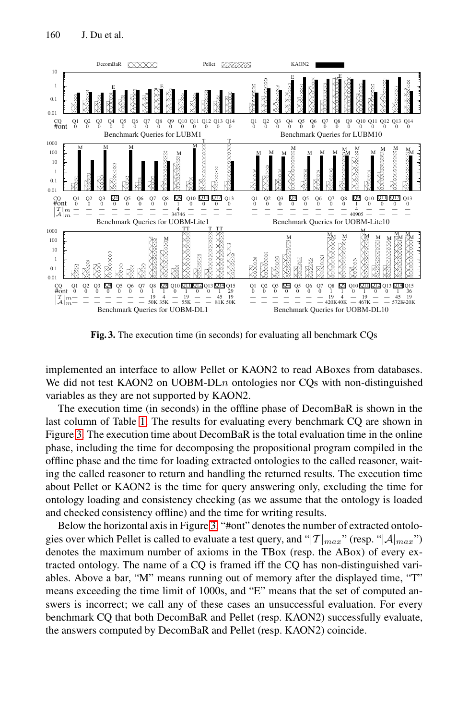

<span id="page-14-0"></span>**Fig. 3.** The execution time (in seconds) for evaluating all benchmark CQs

implemented an interface to allow Pellet or KAON2 to read ABoxes from databases. We did not test KAON2 on UOBM-DL $n$  ontologies nor CQs with non-distinguished variables as they are not supported by KAON2.

The execution time (in seconds) in the offline phase of DecomBaR is shown in the last column of T[ab](#page-14-0)le 1. The results for evaluating every benchmark CQ are shown in Figure 3. The execution time about DecomBaR is the total evaluation time in the online phase, including the time for decomposing the propositional program compiled in the offline phase and the time for loading extracted ontologies to the called reasoner, waiting the called reasoner to return and handling the returned results. The execution time about Pellet or KAON2 is the time for query answering only, excluding the time for ontology loading and consistency checking (as we assume that the ontology is loaded and checked consistency offline) and the time for writing results.

Below the horizontal axis in Figure 3, "#ont" denotes the number of extracted ontologies over which Pellet is called to evaluate a test query, and " $|T|_{max}$ " (resp. " $|A|_{max}$ ") denotes the maximum number of axioms in the TBox (resp. the ABox) of every extracted ontology. The name of a CQ is framed iff the CQ has non-distinguished variables. Above a bar, "M" means running out of memory after the displayed time, "T" means exceeding the time limit of 1000s, and "E" means that the set of computed answers is incorrect; we call any of these cases an unsuccessful evaluation. For every benchmark CQ that both DecomBaR and Pellet (resp. KAON2) successfully evaluate, the answers computed by DecomBaR and Pellet (resp. KAON2) coincide.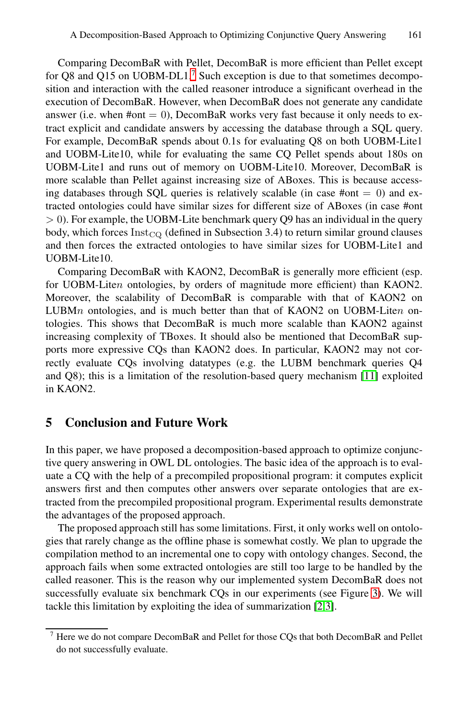Comparing DecomBaR with Pellet, DecomBaR is more efficient than Pellet except for Q8 and Q15 on UOBM-DL1.<sup>7</sup> Such exception is due to that sometimes decomposition and interaction with the called reasoner introduce a significant overhead in the execution of DecomBaR. However, when DecomBaR does not generate any candidate answer (i.e. when  $\#$ ont = 0), DecomBaR works very fast because it only needs to extract explicit and candidate answers by accessing the database through a SQL query. For example, DecomBaR spends about 0.1s for evaluating Q8 on both UOBM-Lite1 and UOBM-Lite10, while for evaluating the same CQ Pellet spends about 180s on UOBM-Lite1 and runs out of memory on UOBM-Lite10. Moreover, DecomBaR is more scalable than Pellet against increasing size of ABoxes. This is because accessing databases through SQL queries is relatively scalable (in case #ont  $= 0$ ) and extracted ontologies could have similar sizes for different size of ABoxes (in case #ont  $> 0$ ). For example, the UOBM-Lite benchmark query Q9 has an individual in the query body, which forces  $Int_{CO}$  (defined in Subsection 3.4) to return similar ground clauses and then forces the extracted ontologies to have similar sizes for UOBM-Lite1 and UOBM-Lite10.

Comparing DecomBaR with KAON2, DecomBa[R i](#page-16-4)s generally more efficient (esp. for UOBM-Liten ontologies, by orders of magnitude more efficient) than KAON2. Moreover, the scalability of DecomBaR is comparable with that of KAON2 on LUBMn ontologies, and is much better than that of KAON2 on UOBM-Liten ontologies. This shows that DecomBaR is much more scalable than KAON2 against increasing complexity of TBoxes. It should also be mentioned that DecomBaR supports more expressive CQs than KAON2 does. In particular, KAON2 may not correctly evaluate CQs involving datatypes (e.g. the LUBM benchmark queries Q4 and Q8); this is a limitation of the resolution-based query mechanism [11] exploited in KAON2.

# **5 Conclusion and Future Work**

In this paper, we have proposed a decomposition-based approach to optimize conjunctive query answering in OWL DL ontologies. The basic idea of the approach is to evaluate a CQ with the help of a precompiled propositional program: it computes explicit answers first and then computes other answers over [se](#page-14-0)parate ontologies that are extracted from the precompiled proposition[al](#page-16-5) [pr](#page-16-14)ogram. Experimental results demonstrate the advantages of the proposed approach.

The proposed approach still has some limitations. First, it only works well on ontologies that rarely change as the offline phase is somewhat costly. We plan to upgrade the compilation method to an incremental one to copy with ontology changes. Second, the approach fails when some extracted ontologies are still too large to be handled by the called reasoner. This is the reason why our implemented system DecomBaR does not successfully evaluate six benchmark CQs in our experiments (see Figure 3). We will tackle this limitation by exploiting the idea of summarization [2,3].

<sup>7</sup> Here we do not compare DecomBaR and Pellet for those CQs that both DecomBaR and Pellet do not successfully evaluate.